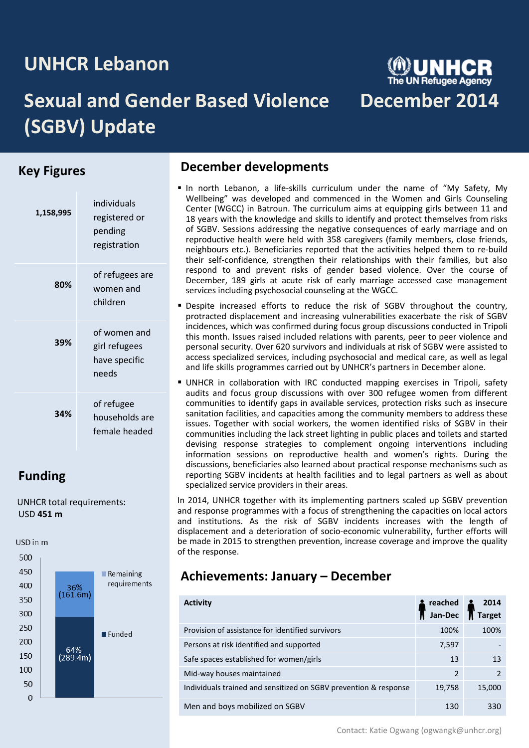# **UNHCR Lebanon**

# **Sexual and Gender Based Violence December 2014 (SGBV) Update**

# **Key Figures**

| 1,158,995 | individuals<br>registered or<br>pending<br>registration |
|-----------|---------------------------------------------------------|
| 80%       | of refugees are<br>women and<br>children                |
| 39%       | of women and<br>girl refugees<br>have specific<br>needs |
| 34%       | of refugee<br>households are<br>female headed           |

# **Funding**

 UNHCR total requirements: USD **451 m**

USD in m 500 450  $\blacksquare$  Remaining requirements 400  $36\%$  (161.6m) 350 300 250 Funded 200 64% 150  $(289.4m)$ 100 50  $\mathbf 0$ 

# **December developments**

- In north Lebanon, a life-skills curriculum under the name of "My Safety, My Wellbeing" was developed and commenced in the Women and Girls Counseling Center (WGCC) in Batroun. The curriculum aims at equipping girls between 11 and 18 years with the knowledge and skills to identify and protect themselves from risks of SGBV. Sessions addressing the negative consequences of early marriage and on reproductive health were held with 358 caregivers (family members, close friends, neighbours etc.). Beneficiaries reported that the activities helped them to re-build their self-confidence, strengthen their relationships with their families, but also respond to and prevent risks of gender based violence. Over the course of December, 189 girls at acute risk of early marriage accessed case management services including psychosocial counseling at the WGCC.
- **•** Despite increased efforts to reduce the risk of SGBV throughout the country, protracted displacement and increasing vulnerabilities exacerbate the risk of SGBV incidences, which was confirmed during focus group discussions conducted in Tripoli this month. Issues raised included relations with parents, peer to peer violence and personal security. Over 620 survivors and individuals at risk of SGBV were assisted to access specialized services, including psychosocial and medical care, as well as legal and life skills programmes carried out by UNHCR's partners in December alone.
- UNHCR in collaboration with IRC conducted mapping exercises in Tripoli, safety audits and focus group discussions with over 300 refugee women from different communities to identify gaps in available services, protection risks such as insecure sanitation facilities, and capacities among the community members to address these issues. Together with social workers, the women identified risks of SGBV in their communities including the lack street lighting in public places and toilets and started devising response strategies to complement ongoing interventions including information sessions on reproductive health and women's rights. During the discussions, beneficiaries also learned about practical response mechanisms such as reporting SGBV incidents at health facilities and to legal partners as well as about specialized service providers in their areas.

In 2014, UNHCR together with its implementing partners scaled up SGBV prevention and response programmes with a focus of strengthening the capacities on local actors and institutions. As the risk of SGBV incidents increases with the length of displacement and a deterioration of socio-economic vulnerability, further efforts will be made in 2015 to strengthen prevention, increase coverage and improve the quality of the response.

### **Achievements: January – December**

| <b>Activity</b>                                                  | reached<br>Jan-Dec | 2014<br><b>Target</b> |
|------------------------------------------------------------------|--------------------|-----------------------|
| Provision of assistance for identified survivors                 | 100%               | 100%                  |
| Persons at risk identified and supported                         | 7,597              |                       |
| Safe spaces established for women/girls                          | 13                 | 13                    |
| Mid-way houses maintained                                        | $\overline{2}$     |                       |
| Individuals trained and sensitized on SGBV prevention & response | 19,758             | 15,000                |
| Men and boys mobilized on SGBV                                   | 130                | 330                   |